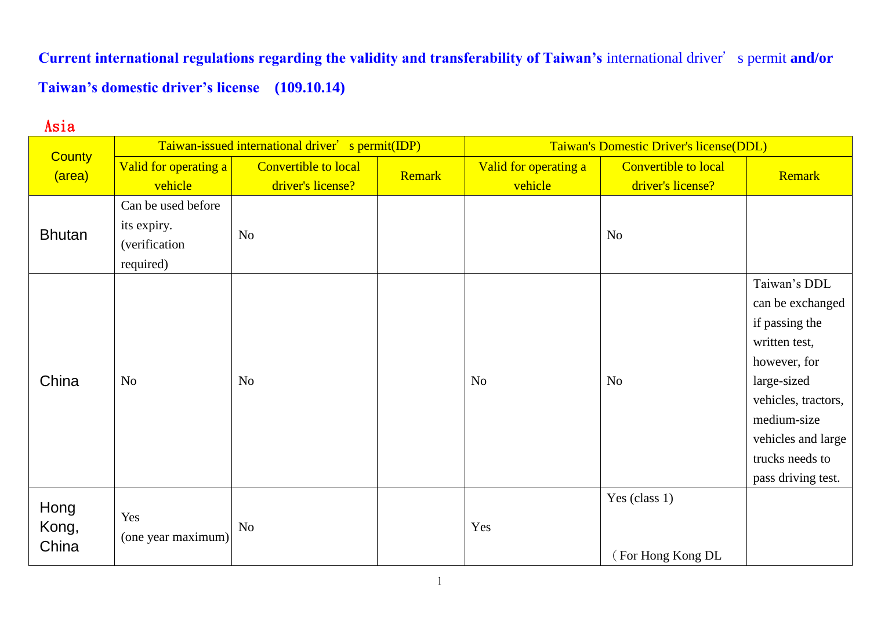**Current international regulations regarding the validity and transferability of Taiwan's** international driver's permit **and/or Taiwan's domestic driver's license (109.10.14)**

## Asia

|                         | Taiwan-issued international driver' s permit(IDP)               |                                                  |        | Taiwan's Domestic Driver's license(DDL) |                                           |                                                                                                                                                                                                         |
|-------------------------|-----------------------------------------------------------------|--------------------------------------------------|--------|-----------------------------------------|-------------------------------------------|---------------------------------------------------------------------------------------------------------------------------------------------------------------------------------------------------------|
| <b>County</b><br>(area) | Valid for operating a<br>vehicle                                | <b>Convertible to local</b><br>driver's license? | Remark | Valid for operating a<br>vehicle        | Convertible to local<br>driver's license? | Remark                                                                                                                                                                                                  |
| <b>Bhutan</b>           | Can be used before<br>its expiry.<br>(verification<br>required) | N <sub>o</sub>                                   |        |                                         | N <sub>o</sub>                            |                                                                                                                                                                                                         |
| China                   | No                                                              | No                                               |        | N <sub>o</sub>                          | N <sub>o</sub>                            | Taiwan's DDL<br>can be exchanged<br>if passing the<br>written test,<br>however, for<br>large-sized<br>vehicles, tractors,<br>medium-size<br>vehicles and large<br>trucks needs to<br>pass driving test. |
| Hong<br>Kong,<br>China  | Yes<br>(one year maximum)                                       | <b>No</b>                                        |        | Yes                                     | Yes (class 1)<br>(For Hong Kong DL        |                                                                                                                                                                                                         |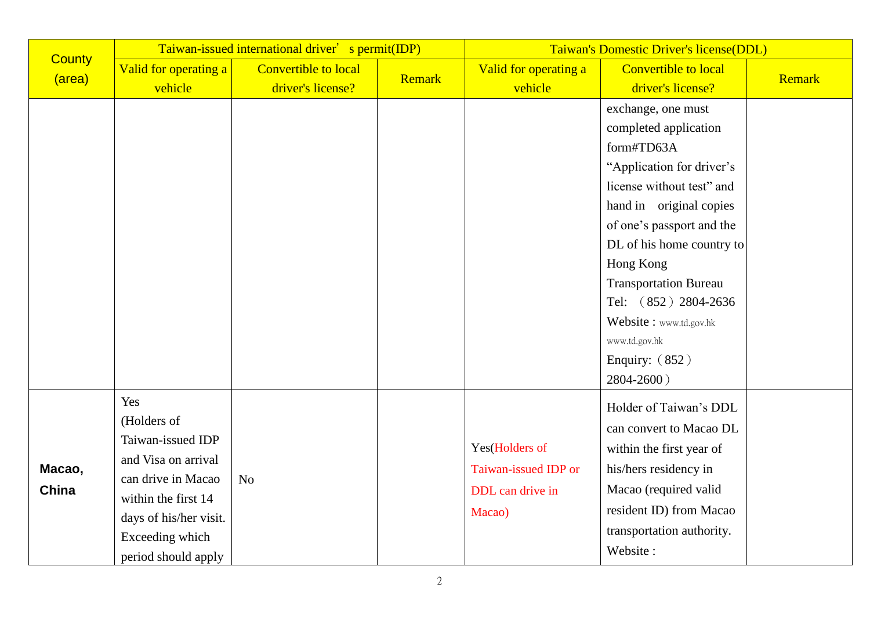|                         |                        | Taiwan-issued international driver' s permit(IDP) |        | Taiwan's Domestic Driver's license(DDL) |                              |        |
|-------------------------|------------------------|---------------------------------------------------|--------|-----------------------------------------|------------------------------|--------|
| <b>County</b><br>(area) | Valid for operating a  | <b>Convertible to local</b>                       | Remark | Valid for operating a                   | <b>Convertible to local</b>  | Remark |
|                         | vehicle                | driver's license?                                 |        | vehicle                                 | driver's license?            |        |
|                         |                        |                                                   |        |                                         | exchange, one must           |        |
|                         |                        |                                                   |        |                                         | completed application        |        |
|                         |                        |                                                   |        |                                         | form#TD63A                   |        |
|                         |                        |                                                   |        |                                         | "Application for driver's    |        |
|                         |                        |                                                   |        |                                         | license without test" and    |        |
|                         |                        |                                                   |        |                                         | hand in original copies      |        |
|                         |                        |                                                   |        |                                         | of one's passport and the    |        |
|                         |                        |                                                   |        |                                         | DL of his home country to    |        |
|                         |                        |                                                   |        |                                         | Hong Kong                    |        |
|                         |                        |                                                   |        |                                         | <b>Transportation Bureau</b> |        |
|                         |                        |                                                   |        |                                         | Tel: (852) 2804-2636         |        |
|                         |                        |                                                   |        |                                         | Website: www.td.gov.hk       |        |
|                         |                        |                                                   |        |                                         | www.td.gov.hk                |        |
|                         |                        |                                                   |        |                                         | Enquiry: $(852)$             |        |
|                         |                        |                                                   |        |                                         | 2804-2600)                   |        |
|                         | Yes                    |                                                   |        |                                         | Holder of Taiwan's DDL       |        |
|                         | (Holders of            |                                                   |        |                                         | can convert to Macao DL      |        |
|                         | Taiwan-issued IDP      |                                                   |        | Yes(Holders of                          | within the first year of     |        |
| Macao,                  | and Visa on arrival    |                                                   |        | Taiwan-issued IDP or                    | his/hers residency in        |        |
| China                   | can drive in Macao     | N <sub>o</sub>                                    |        | DDL can drive in                        | Macao (required valid        |        |
|                         | within the first 14    |                                                   |        | Macao)                                  | resident ID) from Macao      |        |
|                         | days of his/her visit. |                                                   |        |                                         | transportation authority.    |        |
|                         | Exceeding which        |                                                   |        |                                         |                              |        |
|                         | period should apply    |                                                   |        |                                         | Website:                     |        |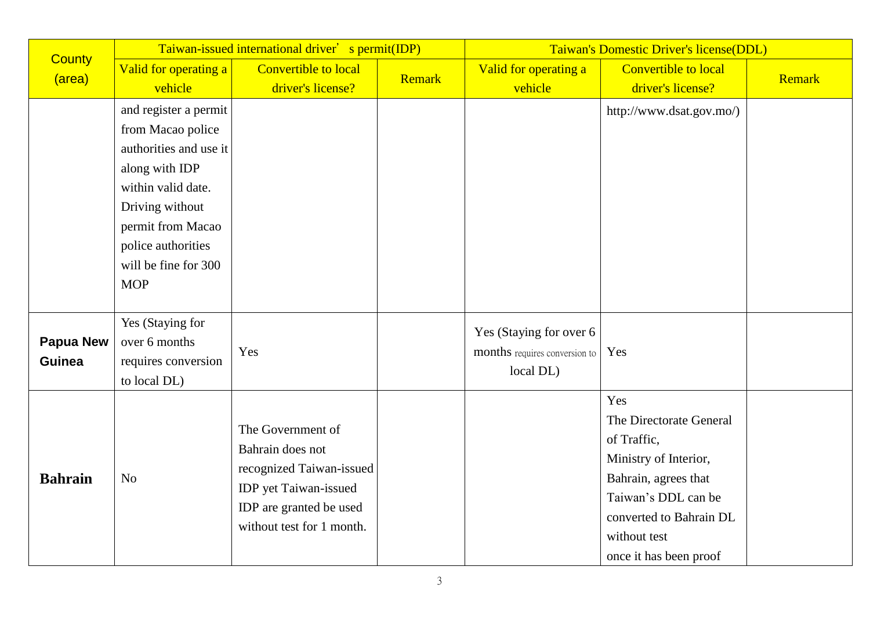| <b>County</b>    | Taiwan-issued international driver' s permit(IDP) |                             |        | Taiwan's Domestic Driver's license(DDL) |                             |        |
|------------------|---------------------------------------------------|-----------------------------|--------|-----------------------------------------|-----------------------------|--------|
| (area)           | Valid for operating a                             | <b>Convertible to local</b> | Remark | Valid for operating a                   | <b>Convertible to local</b> | Remark |
|                  | vehicle                                           | driver's license?           |        | vehicle                                 | driver's license?           |        |
|                  | and register a permit                             |                             |        |                                         | http://www.dsat.gov.mo/)    |        |
|                  | from Macao police                                 |                             |        |                                         |                             |        |
|                  | authorities and use it                            |                             |        |                                         |                             |        |
|                  | along with IDP                                    |                             |        |                                         |                             |        |
|                  | within valid date.                                |                             |        |                                         |                             |        |
|                  | Driving without                                   |                             |        |                                         |                             |        |
|                  | permit from Macao                                 |                             |        |                                         |                             |        |
|                  | police authorities                                |                             |        |                                         |                             |        |
|                  | will be fine for 300                              |                             |        |                                         |                             |        |
|                  | <b>MOP</b>                                        |                             |        |                                         |                             |        |
|                  |                                                   |                             |        |                                         |                             |        |
|                  | Yes (Staying for                                  |                             |        | Yes (Staying for over 6                 |                             |        |
| <b>Papua New</b> | over 6 months                                     | Yes                         |        | months requires conversion to           | Yes                         |        |
| <b>Guinea</b>    | requires conversion                               |                             |        | local DL)                               |                             |        |
|                  | to local DL)                                      |                             |        |                                         |                             |        |
|                  |                                                   |                             |        |                                         | Yes                         |        |
|                  |                                                   | The Government of           |        |                                         | The Directorate General     |        |
|                  |                                                   | Bahrain does not            |        |                                         | of Traffic,                 |        |
|                  |                                                   | recognized Taiwan-issued    |        |                                         | Ministry of Interior,       |        |
| <b>Bahrain</b>   | N <sub>o</sub>                                    | IDP yet Taiwan-issued       |        |                                         | Bahrain, agrees that        |        |
|                  |                                                   | IDP are granted be used     |        |                                         | Taiwan's DDL can be         |        |
|                  |                                                   | without test for 1 month.   |        |                                         | converted to Bahrain DL     |        |
|                  |                                                   |                             |        |                                         | without test                |        |
|                  |                                                   |                             |        |                                         | once it has been proof      |        |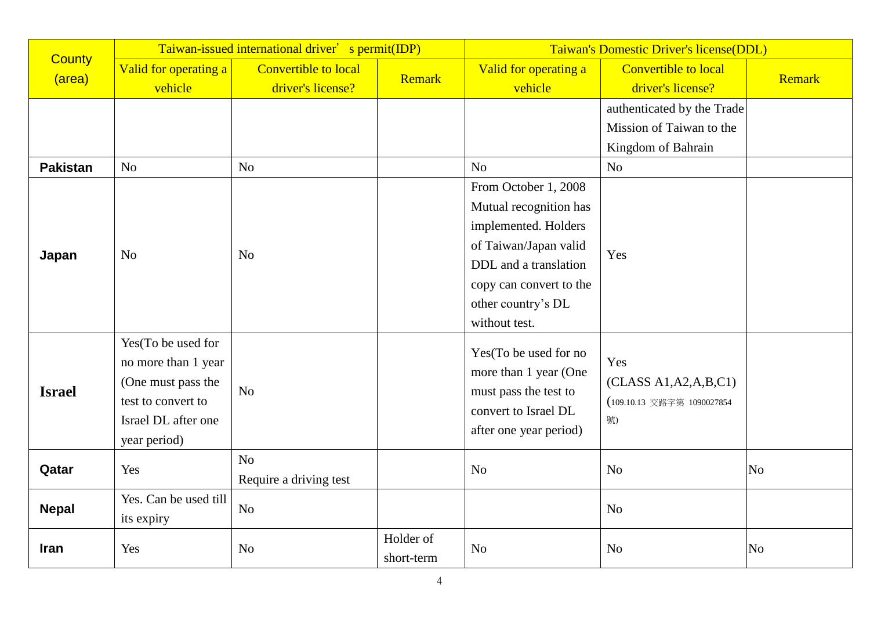|                          | Taiwan-issued international driver' s permit(IDP)                                                                            |                                                  |                         | Taiwan's Domestic Driver's license(DDL)                                                                                                                                                          |                                                                                                       |                |
|--------------------------|------------------------------------------------------------------------------------------------------------------------------|--------------------------------------------------|-------------------------|--------------------------------------------------------------------------------------------------------------------------------------------------------------------------------------------------|-------------------------------------------------------------------------------------------------------|----------------|
| <b>County</b><br>(area)  | Valid for operating a<br>vehicle                                                                                             | <b>Convertible to local</b><br>driver's license? | Remark                  | Valid for operating a<br>vehicle                                                                                                                                                                 | <b>Convertible to local</b><br>driver's license?                                                      | <b>Remark</b>  |
| <b>Pakistan</b><br>Japan | N <sub>o</sub><br>N <sub>o</sub>                                                                                             | N <sub>o</sub><br>N <sub>o</sub>                 |                         | No<br>From October 1, 2008<br>Mutual recognition has<br>implemented. Holders<br>of Taiwan/Japan valid<br>DDL and a translation<br>copy can convert to the<br>other country's DL<br>without test. | authenticated by the Trade<br>Mission of Taiwan to the<br>Kingdom of Bahrain<br>N <sub>o</sub><br>Yes |                |
| <b>Israel</b>            | Yes(To be used for<br>no more than 1 year<br>(One must pass the<br>test to convert to<br>Israel DL after one<br>year period) | No                                               |                         | Yes(To be used for no<br>more than 1 year (One<br>must pass the test to<br>convert to Israel DL<br>after one year period)                                                                        | Yes<br>(CLASS A1,A2,A,B,C1)<br>(109.10.13 交路字第 1090027854<br>號)                                       |                |
| Qatar                    | Yes                                                                                                                          | N <sub>o</sub><br>Require a driving test         |                         | N <sub>o</sub>                                                                                                                                                                                   | N <sub>o</sub>                                                                                        | N <sub>o</sub> |
| <b>Nepal</b>             | Yes. Can be used till<br>its expiry                                                                                          | N <sub>o</sub>                                   |                         |                                                                                                                                                                                                  | N <sub>o</sub>                                                                                        |                |
| <b>Iran</b>              | Yes                                                                                                                          | N <sub>o</sub>                                   | Holder of<br>short-term | N <sub>o</sub>                                                                                                                                                                                   | N <sub>o</sub>                                                                                        | N <sub>0</sub> |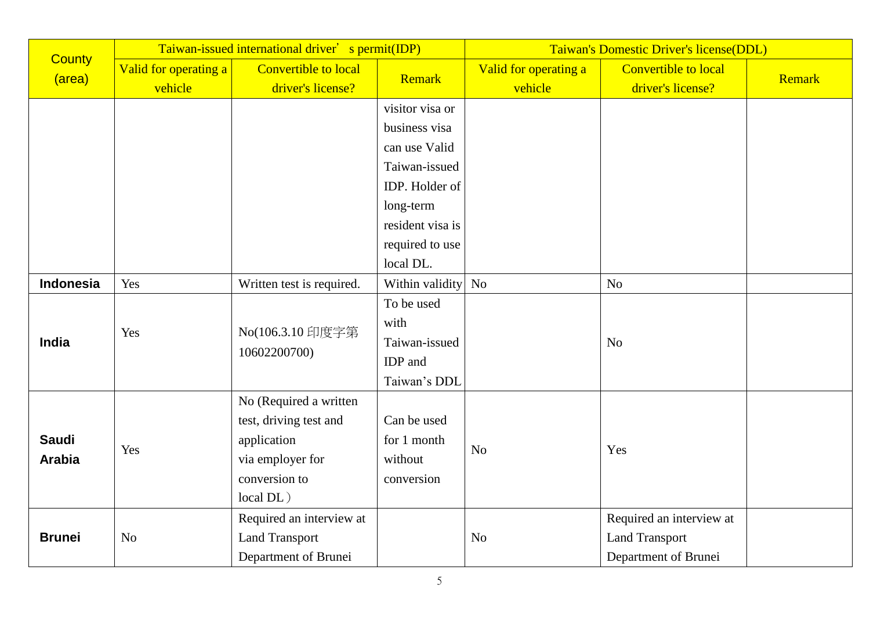|                         | Taiwan-issued international driver' s permit(IDP) |                                  |                    | Taiwan's Domestic Driver's license(DDL) |                             |        |
|-------------------------|---------------------------------------------------|----------------------------------|--------------------|-----------------------------------------|-----------------------------|--------|
| <b>County</b><br>(area) | Valid for operating a                             | <b>Convertible to local</b>      | Remark             | Valid for operating a                   | <b>Convertible to local</b> | Remark |
|                         | vehicle                                           | driver's license?                |                    | vehicle                                 | driver's license?           |        |
|                         |                                                   |                                  | visitor visa or    |                                         |                             |        |
|                         |                                                   |                                  | business visa      |                                         |                             |        |
|                         |                                                   |                                  | can use Valid      |                                         |                             |        |
|                         |                                                   |                                  | Taiwan-issued      |                                         |                             |        |
|                         |                                                   |                                  | IDP. Holder of     |                                         |                             |        |
|                         |                                                   |                                  | long-term          |                                         |                             |        |
|                         |                                                   |                                  | resident visa is   |                                         |                             |        |
|                         |                                                   |                                  | required to use    |                                         |                             |        |
|                         |                                                   |                                  | local DL.          |                                         |                             |        |
| <b>Indonesia</b>        | Yes                                               | Written test is required.        | Within validity No |                                         | N <sub>o</sub>              |        |
|                         | Yes                                               | No(106.3.10 印度字第<br>10602200700) | To be used         |                                         |                             |        |
|                         |                                                   |                                  | with               |                                         |                             |        |
| India                   |                                                   |                                  | Taiwan-issued      |                                         | N <sub>o</sub>              |        |
|                         |                                                   |                                  | IDP and            |                                         |                             |        |
|                         |                                                   |                                  | Taiwan's DDL       |                                         |                             |        |
|                         |                                                   | No (Required a written           |                    |                                         |                             |        |
|                         |                                                   | test, driving test and           | Can be used        |                                         |                             |        |
| <b>Saudi</b>            |                                                   | application                      | for 1 month        |                                         |                             |        |
| <b>Arabia</b>           | Yes                                               | via employer for                 | without            | N <sub>o</sub>                          | Yes                         |        |
|                         |                                                   | conversion to                    | conversion         |                                         |                             |        |
|                         |                                                   | local DL)                        |                    |                                         |                             |        |
|                         |                                                   | Required an interview at         |                    |                                         | Required an interview at    |        |
| <b>Brunei</b>           | N <sub>o</sub>                                    | <b>Land Transport</b>            |                    | N <sub>o</sub>                          | <b>Land Transport</b>       |        |
|                         |                                                   | Department of Brunei             |                    |                                         | Department of Brunei        |        |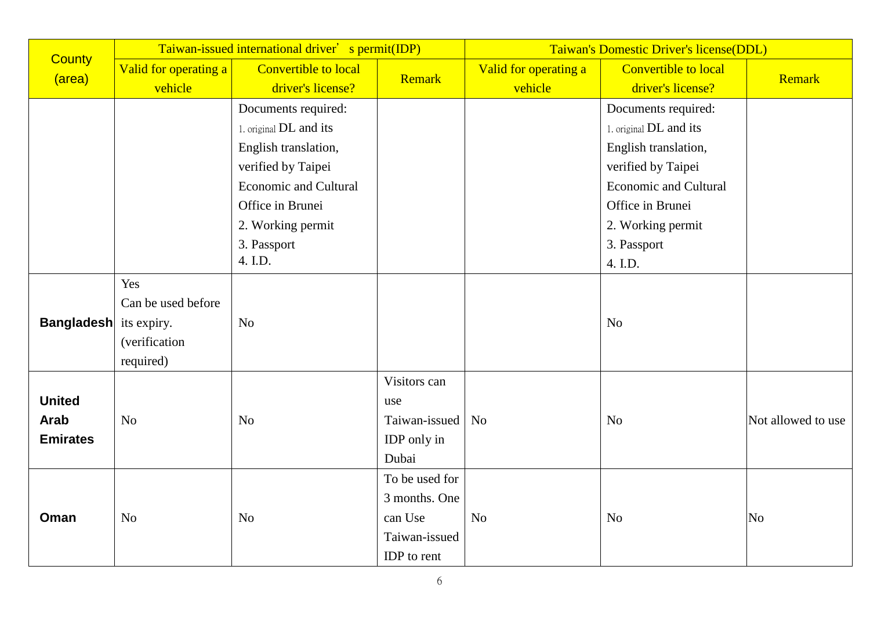|                               | Taiwan-issued international driver' s permit(IDP) |                              |                | Taiwan's Domestic Driver's license(DDL) |                              |                    |
|-------------------------------|---------------------------------------------------|------------------------------|----------------|-----------------------------------------|------------------------------|--------------------|
| <b>County</b><br>(area)       | Valid for operating a                             | Convertible to local         | Remark         | Valid for operating a                   | <b>Convertible to local</b>  | Remark             |
|                               | vehicle                                           | driver's license?            |                | vehicle                                 | driver's license?            |                    |
|                               |                                                   | Documents required:          |                |                                         | Documents required:          |                    |
|                               |                                                   | 1. original DL and its       |                |                                         | 1. original DL and its       |                    |
|                               |                                                   | English translation,         |                |                                         | English translation,         |                    |
|                               |                                                   | verified by Taipei           |                |                                         | verified by Taipei           |                    |
|                               |                                                   | <b>Economic and Cultural</b> |                |                                         | <b>Economic and Cultural</b> |                    |
|                               |                                                   | Office in Brunei             |                |                                         | Office in Brunei             |                    |
|                               |                                                   | 2. Working permit            |                |                                         | 2. Working permit            |                    |
|                               |                                                   | 3. Passport                  |                |                                         | 3. Passport                  |                    |
|                               |                                                   | 4. I.D.                      |                |                                         | 4. I.D.                      |                    |
|                               | Yes                                               |                              |                |                                         |                              |                    |
|                               | Can be used before                                |                              |                |                                         |                              |                    |
| <b>Bangladesh</b> its expiry. |                                                   | N <sub>o</sub>               |                |                                         | N <sub>o</sub>               |                    |
|                               | (verification                                     |                              |                |                                         |                              |                    |
|                               | required)                                         |                              |                |                                         |                              |                    |
|                               |                                                   |                              | Visitors can   |                                         |                              |                    |
| <b>United</b>                 |                                                   |                              | use            |                                         |                              |                    |
| <b>Arab</b>                   | N <sub>o</sub>                                    | N <sub>o</sub>               | Taiwan-issued  | <b>No</b>                               | N <sub>o</sub>               | Not allowed to use |
| <b>Emirates</b>               |                                                   |                              | IDP only in    |                                         |                              |                    |
|                               |                                                   |                              | Dubai          |                                         |                              |                    |
|                               |                                                   |                              | To be used for |                                         |                              |                    |
|                               |                                                   |                              | 3 months. One  |                                         |                              |                    |
| Oman                          | N <sub>o</sub>                                    | N <sub>o</sub>               | can Use        | N <sub>o</sub>                          | N <sub>o</sub>               | N <sub>o</sub>     |
|                               |                                                   |                              | Taiwan-issued  |                                         |                              |                    |
|                               |                                                   |                              | IDP to rent    |                                         |                              |                    |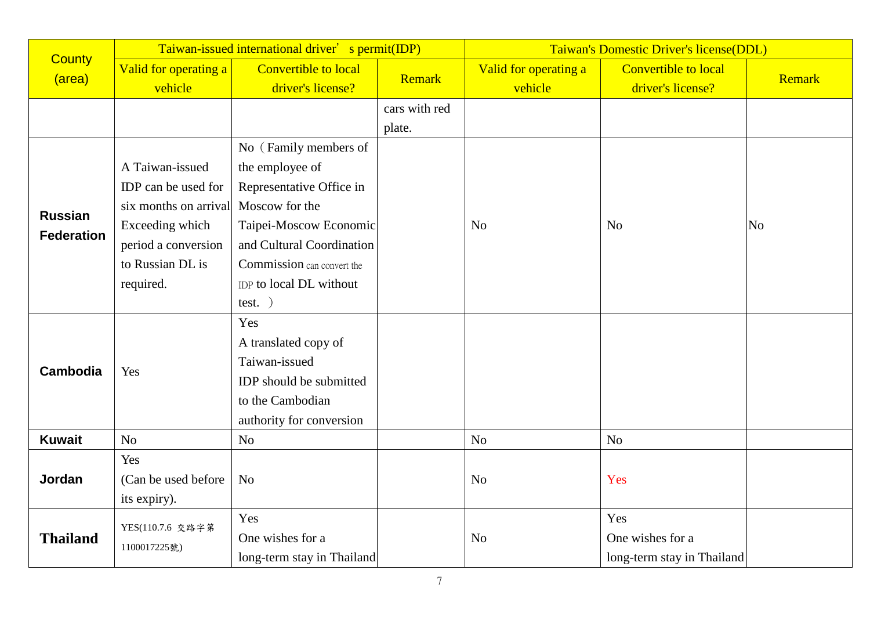|                   | Taiwan-issued international driver' s permit(IDP) |                             |               | Taiwan's Domestic Driver's license(DDL) |                             |        |
|-------------------|---------------------------------------------------|-----------------------------|---------------|-----------------------------------------|-----------------------------|--------|
| <b>County</b>     | Valid for operating a                             | <b>Convertible to local</b> | Remark        | Valid for operating a                   | <b>Convertible to local</b> | Remark |
| (area)            | vehicle                                           | driver's license?           |               | vehicle                                 | driver's license?           |        |
|                   |                                                   |                             | cars with red |                                         |                             |        |
|                   |                                                   |                             | plate.        |                                         |                             |        |
|                   |                                                   | No (Family members of       |               |                                         |                             |        |
|                   | A Taiwan-issued                                   | the employee of             |               |                                         |                             |        |
|                   | IDP can be used for                               | Representative Office in    |               |                                         |                             |        |
| <b>Russian</b>    | six months on arrival                             | Moscow for the              |               |                                         |                             |        |
| <b>Federation</b> | Exceeding which                                   | Taipei-Moscow Economic      |               | N <sub>o</sub>                          | N <sub>o</sub>              | No     |
|                   | period a conversion                               | and Cultural Coordination   |               |                                         |                             |        |
|                   | to Russian DL is                                  | Commission can convert the  |               |                                         |                             |        |
|                   | required.                                         | IDP to local DL without     |               |                                         |                             |        |
|                   |                                                   | $test.$ )                   |               |                                         |                             |        |
|                   |                                                   | Yes                         |               |                                         |                             |        |
|                   |                                                   | A translated copy of        |               |                                         |                             |        |
| <b>Cambodia</b>   | Yes                                               | Taiwan-issued               |               |                                         |                             |        |
|                   |                                                   | IDP should be submitted     |               |                                         |                             |        |
|                   |                                                   | to the Cambodian            |               |                                         |                             |        |
|                   |                                                   | authority for conversion    |               |                                         |                             |        |
| <b>Kuwait</b>     | N <sub>o</sub>                                    | N <sub>o</sub>              |               | No                                      | N <sub>o</sub>              |        |
|                   | Yes                                               |                             |               |                                         |                             |        |
| Jordan            | (Can be used before)                              | N <sub>o</sub>              |               | N <sub>o</sub>                          | Yes                         |        |
|                   | its expiry).                                      |                             |               |                                         |                             |        |
|                   | YES(110.7.6 交路字第                                  | Yes                         |               |                                         | Yes                         |        |
| <b>Thailand</b>   | 1100017225號)                                      | One wishes for a            |               | N <sub>o</sub>                          | One wishes for a            |        |
|                   |                                                   | long-term stay in Thailand  |               |                                         | long-term stay in Thailand  |        |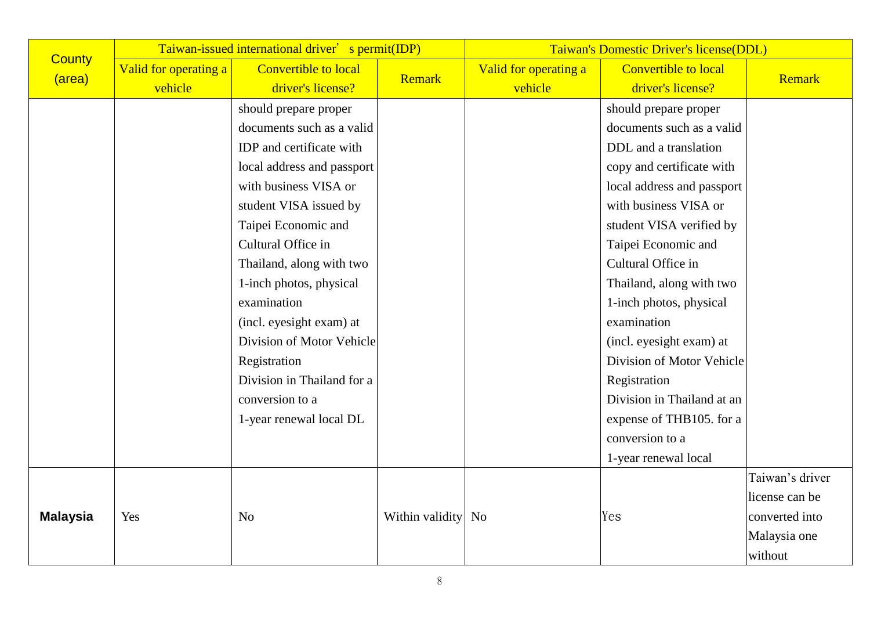|                 | Taiwan-issued international driver' s permit(IDP) |                             |                    | Taiwan's Domestic Driver's license(DDL) |                             |                 |  |
|-----------------|---------------------------------------------------|-----------------------------|--------------------|-----------------------------------------|-----------------------------|-----------------|--|
| <b>County</b>   | Valid for operating a                             | <b>Convertible to local</b> | <b>Remark</b>      | Valid for operating a                   | <b>Convertible to local</b> | Remark          |  |
| (area)          | vehicle                                           | driver's license?           |                    | vehicle                                 | driver's license?           |                 |  |
|                 |                                                   | should prepare proper       |                    |                                         | should prepare proper       |                 |  |
|                 |                                                   | documents such as a valid   |                    |                                         | documents such as a valid   |                 |  |
|                 |                                                   | IDP and certificate with    |                    |                                         | DDL and a translation       |                 |  |
|                 |                                                   | local address and passport  |                    |                                         | copy and certificate with   |                 |  |
|                 |                                                   | with business VISA or       |                    |                                         | local address and passport  |                 |  |
|                 |                                                   | student VISA issued by      |                    |                                         | with business VISA or       |                 |  |
|                 |                                                   | Taipei Economic and         |                    |                                         | student VISA verified by    |                 |  |
|                 |                                                   | Cultural Office in          |                    |                                         | Taipei Economic and         |                 |  |
|                 |                                                   | Thailand, along with two    |                    |                                         | Cultural Office in          |                 |  |
|                 |                                                   | 1-inch photos, physical     |                    |                                         | Thailand, along with two    |                 |  |
|                 |                                                   | examination                 |                    |                                         | 1-inch photos, physical     |                 |  |
|                 |                                                   | (incl. eyesight exam) at    |                    |                                         | examination                 |                 |  |
|                 |                                                   | Division of Motor Vehicle   |                    |                                         | (incl. eyesight exam) at    |                 |  |
|                 |                                                   | Registration                |                    |                                         | Division of Motor Vehicle   |                 |  |
|                 |                                                   | Division in Thailand for a  |                    |                                         | Registration                |                 |  |
|                 |                                                   | conversion to a             |                    |                                         | Division in Thailand at an  |                 |  |
|                 |                                                   | 1-year renewal local DL     |                    |                                         | expense of THB105. for a    |                 |  |
|                 |                                                   |                             |                    |                                         | conversion to a             |                 |  |
|                 |                                                   |                             |                    |                                         | 1-year renewal local        |                 |  |
|                 |                                                   |                             |                    |                                         |                             | Taiwan's driver |  |
|                 |                                                   |                             |                    |                                         |                             | license can be  |  |
| <b>Malaysia</b> | Yes                                               | N <sub>o</sub>              | Within validity No |                                         | Yes                         | converted into  |  |
|                 |                                                   |                             |                    |                                         |                             | Malaysia one    |  |
|                 |                                                   |                             |                    |                                         |                             | without         |  |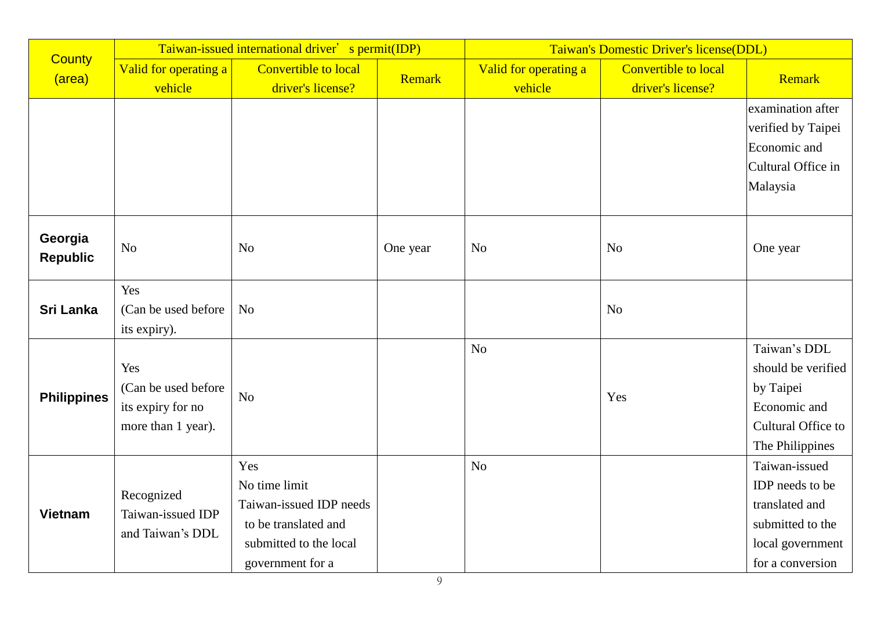|                            | Taiwan-issued international driver' s permit(IDP)                      |                                                                                                                       |               | Taiwan's Domestic Driver's license(DDL) |                                                  |                                                                                                                |
|----------------------------|------------------------------------------------------------------------|-----------------------------------------------------------------------------------------------------------------------|---------------|-----------------------------------------|--------------------------------------------------|----------------------------------------------------------------------------------------------------------------|
| <b>County</b><br>(area)    | Valid for operating a<br>vehicle                                       | Convertible to local<br>driver's license?                                                                             | <b>Remark</b> | Valid for operating a<br>vehicle        | <b>Convertible to local</b><br>driver's license? | Remark                                                                                                         |
|                            |                                                                        |                                                                                                                       |               |                                         |                                                  | examination after<br>verified by Taipei<br>Economic and<br>Cultural Office in<br>Malaysia                      |
| Georgia<br><b>Republic</b> | N <sub>o</sub>                                                         | N <sub>o</sub>                                                                                                        | One year      | N <sub>o</sub>                          | N <sub>o</sub>                                   | One year                                                                                                       |
| <b>Sri Lanka</b>           | Yes<br>(Can be used before)<br>its expiry).                            | N <sub>o</sub>                                                                                                        |               |                                         | N <sub>o</sub>                                   |                                                                                                                |
| <b>Philippines</b>         | Yes<br>(Can be used before)<br>its expiry for no<br>more than 1 year). | N <sub>o</sub>                                                                                                        |               | No                                      | Yes                                              | Taiwan's DDL<br>should be verified<br>by Taipei<br>Economic and<br>Cultural Office to<br>The Philippines       |
| <b>Vietnam</b>             | Recognized<br>Taiwan-issued IDP<br>and Taiwan's DDL                    | Yes<br>No time limit<br>Taiwan-issued IDP needs<br>to be translated and<br>submitted to the local<br>government for a |               | No                                      |                                                  | Taiwan-issued<br>IDP needs to be<br>translated and<br>submitted to the<br>local government<br>for a conversion |